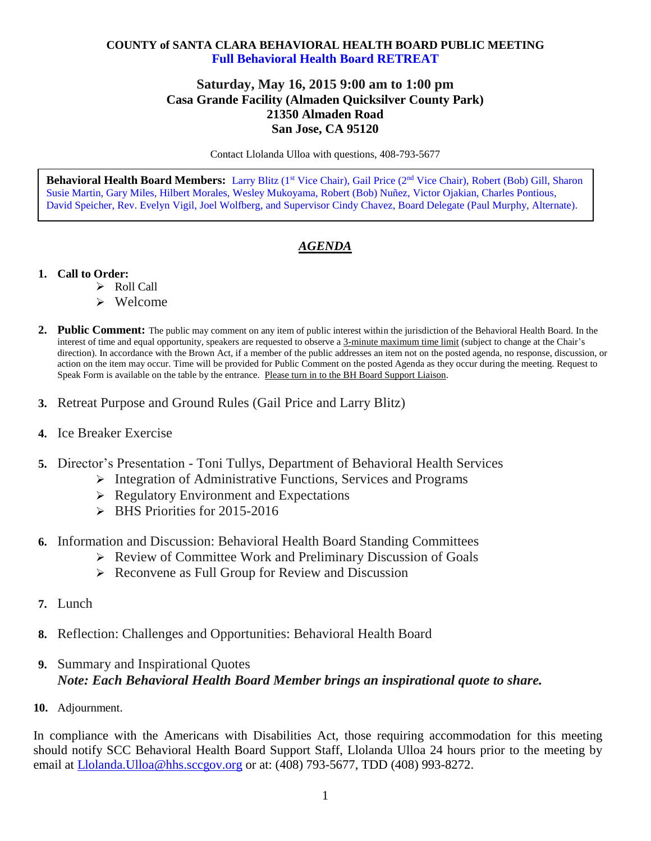## **COUNTY of SANTA CLARA BEHAVIORAL HEALTH BOARD PUBLIC MEETING Full Behavioral Health Board RETREAT**

## **Saturday, May 16, 2015 9:00 am to 1:00 pm Casa Grande Facility (Almaden Quicksilver County Park) 21350 Almaden Road San Jose, CA 95120**

Contact Llolanda Ulloa with questions, 408-793-5677

**Behavioral Health Board Members:** Larry Blitz (1st Vice Chair), Gail Price (2nd Vice Chair), Robert (Bob) Gill, Sharon Susie Martin, Gary Miles, Hilbert Morales, Wesley Mukoyama, Robert (Bob) Nuñez, Victor Ojakian, Charles Pontious, David Speicher, Rev. Evelyn Vigil, Joel Wolfberg, and Supervisor Cindy Chavez, Board Delegate (Paul Murphy, Alternate).

## *AGENDA*

- **1. Call to Order:**
	- > Roll Call
	- $\triangleright$  Welcome
- **2. Public Comment:** The public may comment on any item of public interest within the jurisdiction of the Behavioral Health Board. In the interest of time and equal opportunity, speakers are requested to observe a 3-minute maximum time limit (subject to change at the Chair's direction). In accordance with the Brown Act, if a member of the public addresses an item not on the posted agenda, no response, discussion, or action on the item may occur. Time will be provided for Public Comment on the posted Agenda as they occur during the meeting. Request to Speak Form is available on the table by the entrance. Please turn in to the BH Board Support Liaison.
- **3.** Retreat Purpose and Ground Rules (Gail Price and Larry Blitz)
- **4.** Ice Breaker Exercise
- **5.** Director's Presentation Toni Tullys, Department of Behavioral Health Services
	- **EXECUTE:** Integration of Administrative Functions, Services and Programs
	- $\triangleright$  Regulatory Environment and Expectations
	- $\triangleright$  BHS Priorities for 2015-2016
- **6.** Information and Discussion: Behavioral Health Board Standing Committees
	- ▶ Review of Committee Work and Preliminary Discussion of Goals
	- $\triangleright$  Reconvene as Full Group for Review and Discussion
- **7.** Lunch
- **8.** Reflection: Challenges and Opportunities: Behavioral Health Board
- **9.** Summary and Inspirational Quotes *Note: Each Behavioral Health Board Member brings an inspirational quote to share.*
- **10.** Adjournment.

In compliance with the Americans with Disabilities Act, those requiring accommodation for this meeting should notify SCC Behavioral Health Board Support Staff, Llolanda Ulloa 24 hours prior to the meeting by email at [Llolanda.Ulloa@hhs.sccgov.org](mailto:Llolanda.Ulloa@hhs.sccgov.org) or at: (408) 793-5677, TDD (408) 993-8272.